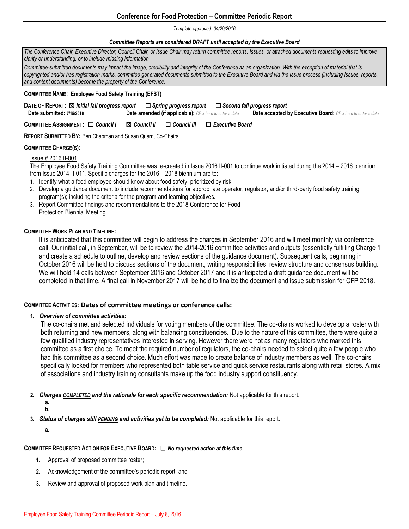# **Conference for Food Protection – Committee Periodic Report**

#### *Template approved: 04/20/2016*

#### *Committee Reports are considered DRAFT until accepted by the Executive Board*

*The Conference Chair, Executive Director, Council Chair, or Issue Chair may return committee reports, Issues, or attached documents requesting edits to improve clarity or understanding, or to include missing information.* 

*Committee-submitted documents may impact the image, credibility and integrity of the Conference as an organization. With the exception of material that is copyrighted and/or has registration marks, committee generated documents submitted to the Executive Board and via the Issue process (including Issues, reports, and content documents) become the property of the Conference.*

#### **COMMITTEE NAME: Employee Food Safety Training (EFST)**

| DATE OF REPORT: ⊠ Initial fall progress report |                                                                  | $\Box$ Spring progress report $\quad \Box$ Second fall progress report |
|------------------------------------------------|------------------------------------------------------------------|------------------------------------------------------------------------|
| Date submitted: 7/15/2016                      | <b>Date amended (if applicable):</b> Click here to enter a date. | <b>Date accepted by Executive Board:</b> Click here to enter a date.   |

**COMMITTEE ASSIGNMENT:** ☐ *Council I* ☒ *Council II* ☐ *Council III* ☐ *Executive Board* 

**REPORT SUBMITTED BY:** Ben Chapman and Susan Quam, Co-Chairs

## **COMMITTEE CHARGE(S):**

### Issue # 2016 II-001

The Employee Food Safety Training Committee was re-created in Issue 2016 II-001 to continue work initiated during the 2014 – 2016 biennium from Issue 2014-II-011. Specific charges for the 2016 – 2018 biennium are to:

- 1. Identify what a food employee should know about food safety, prioritized by risk.
- 2. Develop a guidance document to include recommendations for appropriate operator, regulator, and/or third-party food safety training program(s); including the criteria for the program and learning objectives.
- 3. Report Committee findings and recommendations to the 2018 Conference for Food Protection Biennial Meeting.

### **COMMITTEE WORK PLAN AND TIMELINE:**

It is anticipated that this committee will begin to address the charges in September 2016 and will meet monthly via conference call. Our initial call, in September, will be to review the 2014-2016 committee activities and outputs (essentially fulfilling Charge 1 and create a schedule to outline, develop and review sections of the guidance document). Subsequent calls, beginning in October 2016 will be held to discuss sections of the document, writing responsibilities, review structure and consensus building. We will hold 14 calls between September 2016 and October 2017 and it is anticipated a draft guidance document will be completed in that time. A final call in November 2017 will be held to finalize the document and issue submission for CFP 2018.

## **COMMITTEE ACTIVITIES: Dates of committee meetings or conference calls:**

## **1.** *Overview of committee activities:*

The co-chairs met and selected individuals for voting members of the committee. The co-chairs worked to develop a roster with both returning and new members, along with balancing constituencies. Due to the nature of this committee, there were quite a few qualified industry representatives interested in serving. However there were not as many regulators who marked this committee as a first choice. To meet the required number of regulators, the co-chairs needed to select quite a few people who had this committee as a second choice. Much effort was made to create balance of industry members as well. The co-chairs specifically looked for members who represented both table service and quick service restaurants along with retail stores. A mix of associations and industry training consultants make up the food industry support constituency.

**2.** *Charges COMPLETED and the rationale for each specific recommendation:* Not applicable for this report.

**a. b.**

**3.** *Status of charges still PENDING and activities yet to be completed:* Not applicable for this report.

**a.**

## **COMMITTEE REQUESTED ACTION FOR EXECUTIVE BOARD:** ☐ *No requested action at this time*

- **1.** Approval of proposed committee roster;
- **2.** Acknowledgement of the committee's periodic report; and
- **3.** Review and approval of proposed work plan and timeline.